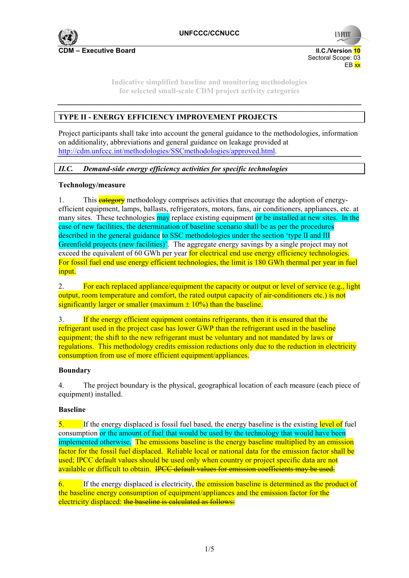

 Sectoral Scope: 03 en de la provincia de la provincia de la provincia de la provincia de la provincia de la provincia de la provi

**UNFCC** 

**Indicative simplified baseline and monitoring methodologies for selected small-scale CDM project activity categories** 

# **TYPE II - ENERGY EFFICIENCY IMPROVEMENT PROJECTS**

Project participants shall take into account the general guidance to the methodologies, information on additionality, abbreviations and general guidance on leakage provided at http://cdm.unfccc.int/methodologies/SSCmethodologies/approved.html.

## *II.C. Demand-side energy efficiency activities for specific technologies*

### **Technology/measure**

1. This **category** methodology comprises activities that encourage the adoption of energyefficient equipment, lamps, ballasts, refrigerators, motors, fans, air conditioners, appliances, etc. at many sites. These technologies may replace existing equipment or be installed at new sites. In the case of new facilities, the determination of baseline scenario shall be as per the procedures described in the general guidance to SSC methodologies under the section 'type II and III Greenfield projects (new facilities)'. The aggregate energy savings by a single project may not exceed the equivalent of 60 GWh per year for electrical end use energy efficiency technologies. For fossil fuel end use energy efficient technologies, the limit is 180 GWh thermal per year in fuel input.

2. For each replaced appliance/equipment the capacity or output or level of service (e.g., light output, room temperature and comfort, the rated output capacity of air-conditioners etc.) is not significantly larger or smaller (maximum  $\pm$  10%) than the baseline.

3. If the energy efficient equipment contains refrigerants, then it is ensured that the refrigerant used in the project case has lower GWP than the refrigerant used in the baseline equipment; the shift to the new refrigerant must be voluntary and not mandated by laws or regulations. This methodology credits emission reductions only due to the reduction in electricity consumption from use of more efficient equipment/appliances.

### **Boundary**

4. The project boundary is the physical, geographical location of each measure (each piece of equipment) installed.

### **Baseline**

 $\overline{5}$ . If the energy displaced is fossil fuel based, the energy baseline is the existing level of fuel consumption or the amount of fuel that would be used by the technology that would have been implemented otherwise. The emissions baseline is the energy baseline multiplied by an emission factor for the fossil fuel displaced. Reliable local or national data for the emission factor shall be used; IPCC default values should be used only when country or project specific data are not available or difficult to obtain. IPCC default values for emission coefficients may be used.

 $6.$  If the energy displaced is electricity, the emission baseline is determined as the product of the baseline energy consumption of equipment/appliances and the emission factor for the electricity displaced: the baseline is calculated as follows: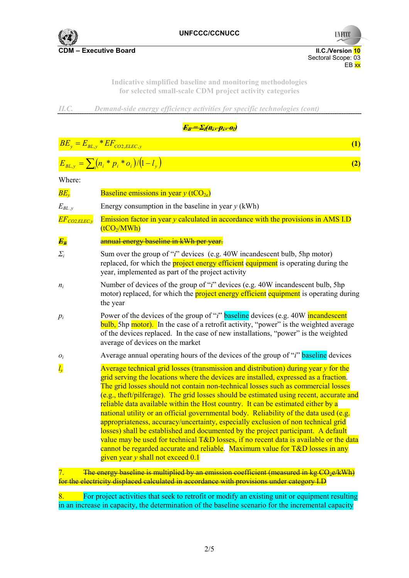

**UNFCCC** 

Sectoral Scope: 03<br>EB xx en de la provincia de la provincia de la provincia de la provincia de la provincia de la provincia de la provi

> **Indicative simplified baseline and monitoring methodologies for selected small-scale CDM project activity categories**

*II.C. Demand-side energy efficiency activities for specific technologies (cont)*

 $E_B = \sum_i (H_i - p_i - \theta_i)$ 

 $BE_y = E_{BL,y} * EF_{CO2, ELLC, y}$  (1)

|                              | $E_{BL,y} = \sum_i (n_i * p_i * o_i)/(1 - l_v)$<br>(2)                                                                                                                                                                                                                                                                                                                                                                                                                                                                                                                                                                                                                                                                                                                                                                                                                                                                                  |
|------------------------------|-----------------------------------------------------------------------------------------------------------------------------------------------------------------------------------------------------------------------------------------------------------------------------------------------------------------------------------------------------------------------------------------------------------------------------------------------------------------------------------------------------------------------------------------------------------------------------------------------------------------------------------------------------------------------------------------------------------------------------------------------------------------------------------------------------------------------------------------------------------------------------------------------------------------------------------------|
| Where:                       |                                                                                                                                                                                                                                                                                                                                                                                                                                                                                                                                                                                                                                                                                                                                                                                                                                                                                                                                         |
| $BE_{v}$                     | <b>Baseline emissions in year y (tCO<sub>2e</sub>)</b>                                                                                                                                                                                                                                                                                                                                                                                                                                                                                                                                                                                                                                                                                                                                                                                                                                                                                  |
| $E_{BL, y}$                  | Energy consumption in the baseline in year $y$ (kWh)                                                                                                                                                                                                                                                                                                                                                                                                                                                                                                                                                                                                                                                                                                                                                                                                                                                                                    |
| $\overline{EF_{CO2,ELEC,y}}$ | Emission factor in year $y$ calculated in accordance with the provisions in AMS I.D<br>(tCO <sub>2</sub> /MWh)                                                                                                                                                                                                                                                                                                                                                                                                                                                                                                                                                                                                                                                                                                                                                                                                                          |
| $E_B$                        | annual energy baseline in kWh per year.                                                                                                                                                                                                                                                                                                                                                                                                                                                                                                                                                                                                                                                                                                                                                                                                                                                                                                 |
| $\sum_i$                     | Sum over the group of " <i>i</i> " devices (e.g. 40W incandescent bulb, 5hp motor)<br>replaced, for which the <b>project energy efficient</b> equipment is operating during the<br>year, implemented as part of the project activity                                                                                                                                                                                                                                                                                                                                                                                                                                                                                                                                                                                                                                                                                                    |
| $n_i$                        | Number of devices of the group of " <i>i</i> " devices (e.g. 40W incandescent bulb, 5hp<br>motor) replaced, for which the <b>project energy efficient</b> equipment is operating during<br>the year                                                                                                                                                                                                                                                                                                                                                                                                                                                                                                                                                                                                                                                                                                                                     |
| $p_i$                        | Power of the devices of the group of "i" baseline devices (e.g. 40W incandescent<br><b>bulb</b> , 5hp motor). In the case of a retrofit activity, "power" is the weighted average<br>of the devices replaced. In the case of new installations, "power" is the weighted<br>average of devices on the market                                                                                                                                                                                                                                                                                                                                                                                                                                                                                                                                                                                                                             |
| $O_i$                        | Average annual operating hours of the devices of the group of "i" baseline devices                                                                                                                                                                                                                                                                                                                                                                                                                                                                                                                                                                                                                                                                                                                                                                                                                                                      |
| $l_{v}$                      | Average technical grid losses (transmission and distribution) during year $y$ for the<br>grid serving the locations where the devices are installed, expressed as a fraction.<br>The grid losses should not contain non-technical losses such as commercial losses<br>(e.g., theft/pilferage). The grid losses should be estimated using recent, accurate and<br>reliable data available within the Host country. It can be estimated either by a<br>national utility or an official governmental body. Reliability of the data used (e.g.<br>appropriateness, accuracy/uncertainty, especially exclusion of non technical grid<br>losses) shall be established and documented by the project participant. A default<br>value may be used for technical T&D losses, if no recent data is available or the data<br>cannot be regarded accurate and reliable. Maximum value for $T\&D$ losses in any<br>given year y shall not exceed 0.1 |
|                              |                                                                                                                                                                                                                                                                                                                                                                                                                                                                                                                                                                                                                                                                                                                                                                                                                                                                                                                                         |

7. The energy baseline is multiplied by an emission coefficient (measured in  $kg \text{ }CO_{2}e/kWh$ ) for the electricity displaced calculated in accordance with provisions under category I.D

8. For project activities that seek to retrofit or modify an existing unit or equipment resulting in an increase in capacity, the determination of the baseline scenario for the incremental capacity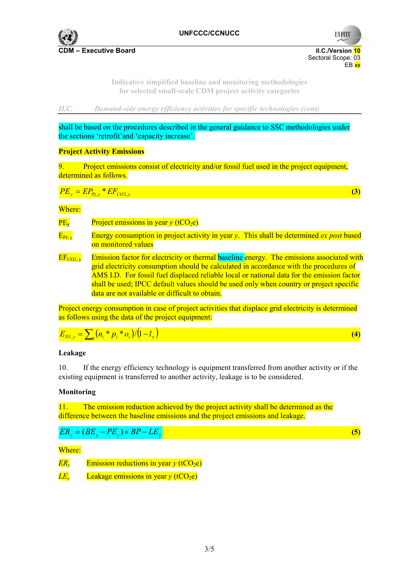

**UNFCCC** 

 Sectoral Scope: 03 en de la provincia de la provincia de la provincia de la provincia de la provincia de la provincia de la provi

> **Indicative simplified baseline and monitoring methodologies for selected small-scale CDM project activity categories**

*II.C. Demand-side energy efficiency activities for specific technologies (cont)*

shall be based on the procedures described in the general guidance to SSC methodologies under the sections 'retrofit'and 'capacity increase'.

#### **Project Activity Emissions**

9. Project emissions consist of electricity and/or fossil fuel used in the project equipment, determined as follows.

$$
PE_y = EP_{Pj,y} * EF_{CO2,y} \tag{3}
$$

#### Where:

| $\overline{\text{PE}_{\text{v}}}$                | Project emissions in year $y$ (tCO <sub>2</sub> e)                                                                                                                                                                                                                                                                                                                                                                             |
|--------------------------------------------------|--------------------------------------------------------------------------------------------------------------------------------------------------------------------------------------------------------------------------------------------------------------------------------------------------------------------------------------------------------------------------------------------------------------------------------|
| $\overline{\mathrm{E}_{\mathrm{PJ},\mathrm{v}}}$ | Energy consumption in project activity in year y. This shall be determined ex post based<br>on monitored values                                                                                                                                                                                                                                                                                                                |
| $EF_{CO2, y}$                                    | Emission factor for electricity or thermal baseline energy. The emissions associated with<br>grid electricity consumption should be calculated in accordance with the procedures of<br>AMS I.D. For fossil fuel displaced reliable local or national data for the emission factor<br>shall be used; IPCC default values should be used only when country or project specific<br>data are not available or difficult to obtain. |

Project energy consumption in case of project activities that displace grid electricity is determined as follows using the data of the project equipment:

 $E_{PJ,y} = \sum_{i} (n_i * p_i * o_i) / (1 - l_y)$  (4)

### **Leakage**

10. If the energy efficiency technology is equipment transferred from another activity or if the existing equipment is transferred to another activity, leakage is to be considered.

### **Monitoring**

11. The emission reduction achieved by the project activity shall be determined as the difference between the baseline emissions and the project emissions and leakage.

$$
ER_y = (BE_y - PE_y) \times BP - LE_y \tag{5}
$$

Where:

*ER<sub>y</sub>* Emission reductions in year *y* (tCO<sub>2</sub>e)

 $LE<sub>v</sub>$  Leakage emissions in year *y* (tCO<sub>2</sub>e)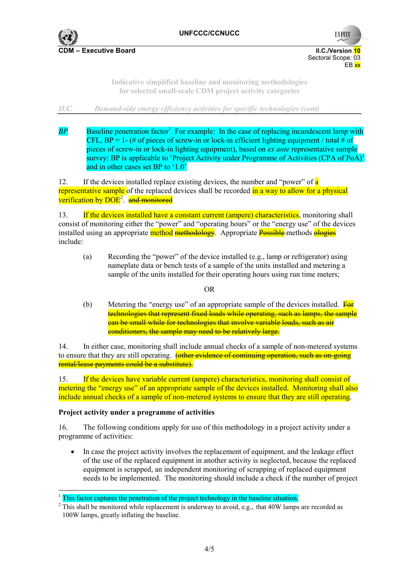

**UNFCCC** 

**CDM – Executive Board II.C./Version 10** Sectoral Scope: 03 en de la provincia de la provincia de la provincia de la provincia de la provincia de la provincia de la provi

> **Indicative simplified baseline and monitoring methodologies for selected small-scale CDM project activity categories**

*II.C. Demand-side energy efficiency activities for specific technologies (cont)*

 $BP$  **Baseline penetration factor<sup>1</sup>** For example: In the case of replacing incandescent lamp with CFL,  $BP = 1 - (\# \text{ of pieces of screw-in or lock-in efficient lifetime equipment / total # of})$ pieces of screw-in or lock-in lighting equipment), based on *ex ante* representative sample survey; BP is applicable to 'Project Activity under Programme of Activities (CPA of PoA)' and in other cases set BP to '1.0'

12. If the devices installed replace existing devices, the number and "power" of **a** representative sample of the replaced devices shall be recorded in a way to allow for a physical verification by DOE<sup>2</sup>. and monitored

13. If the devices installed have a constant current (ampere) characteristics, monitoring shall consist of monitoring either the "power" and "operating hours" or the "energy use" of the devices installed using an appropriate method methodology. Appropriate Possible methods ologies include:

(a) Recording the "power" of the device installed (e.g., lamp or refrigerator) using nameplate data or bench tests of a sample of the units installed and metering a sample of the units installed for their operating hours using run time meters;

### OR

(b) Metering the "energy use" of an appropriate sample of the devices installed.  $\overline{F}_{\Theta}$ technologies that represent fixed loads while operating, such as lamps, the sample can be small while for technologies that involve variable loads, such as air conditioners, the sample may need to be relatively large.

14. In either case, monitoring shall include annual checks of a sample of non-metered systems to ensure that they are still operating. (other evidence of continuing operation, such as on-going rental/lease payments could be a substitute).

15. If the devices have variable current (ampere) characteristics, monitoring shall consist of metering the "energy use" of an appropriate sample of the devices installed. Monitoring shall also include annual checks of a sample of non-metered systems to ensure that they are still operating.

### **Project activity under a programme of activities**

 $\overline{a}$ 

16. The following conditions apply for use of this methodology in a project activity under a programme of activities:

In case the project activity involves the replacement of equipment, and the leakage effect of the use of the replaced equipment in another activity is neglected, because the replaced equipment is scrapped, an independent monitoring of scrapping of replaced equipment needs to be implemented. The monitoring should include a check if the number of project

<sup>1</sup> This factor captures the penetration of the project technology in the baseline situation.

 $2$  This shall be monitored while replacement is underway to avoid, e.g., that 40W lamps are recorded as 100W lamps, greatly inflating the baseline.